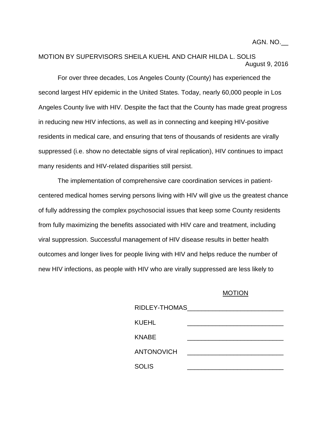AGN. NO.\_\_

## MOTION BY SUPERVISORS SHEILA KUEHL AND CHAIR HILDA L. SOLIS August 9, 2016

For over three decades, Los Angeles County (County) has experienced the second largest HIV epidemic in the United States. Today, nearly 60,000 people in Los Angeles County live with HIV. Despite the fact that the County has made great progress in reducing new HIV infections, as well as in connecting and keeping HIV-positive residents in medical care, and ensuring that tens of thousands of residents are virally suppressed (i.e. show no detectable signs of viral replication), HIV continues to impact many residents and HIV-related disparities still persist.

The implementation of comprehensive care coordination services in patientcentered medical homes serving persons living with HIV will give us the greatest chance of fully addressing the complex psychosocial issues that keep some County residents from fully maximizing the benefits associated with HIV care and treatment, including viral suppression. Successful management of HIV disease results in better health outcomes and longer lives for people living with HIV and helps reduce the number of new HIV infections, as people with HIV who are virally suppressed are less likely to

## MOTION

| RIDLEY-THOMAS     |  |
|-------------------|--|
| KUEHL             |  |
| KNABE             |  |
| <b>ANTONOVICH</b> |  |
| <b>SOLIS</b>      |  |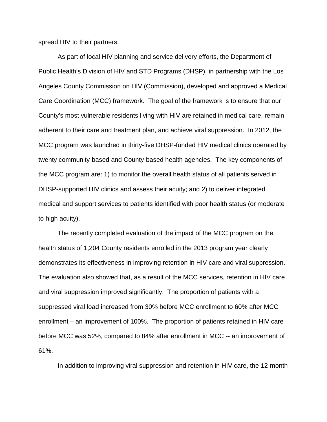spread HIV to their partners.

As part of local HIV planning and service delivery efforts, the Department of Public Health's Division of HIV and STD Programs (DHSP), in partnership with the Los Angeles County Commission on HIV (Commission), developed and approved a Medical Care Coordination (MCC) framework. The goal of the framework is to ensure that our County's most vulnerable residents living with HIV are retained in medical care, remain adherent to their care and treatment plan, and achieve viral suppression. In 2012, the MCC program was launched in thirty-five DHSP-funded HIV medical clinics operated by twenty community-based and County-based health agencies. The key components of the MCC program are: 1) to monitor the overall health status of all patients served in DHSP-supported HIV clinics and assess their acuity; and 2) to deliver integrated medical and support services to patients identified with poor health status (or moderate to high acuity).

The recently completed evaluation of the impact of the MCC program on the health status of 1,204 County residents enrolled in the 2013 program year clearly demonstrates its effectiveness in improving retention in HIV care and viral suppression. The evaluation also showed that, as a result of the MCC services, retention in HIV care and viral suppression improved significantly. The proportion of patients with a suppressed viral load increased from 30% before MCC enrollment to 60% after MCC enrollment – an improvement of 100%. The proportion of patients retained in HIV care before MCC was 52%, compared to 84% after enrollment in MCC -- an improvement of 61%.

In addition to improving viral suppression and retention in HIV care, the 12-month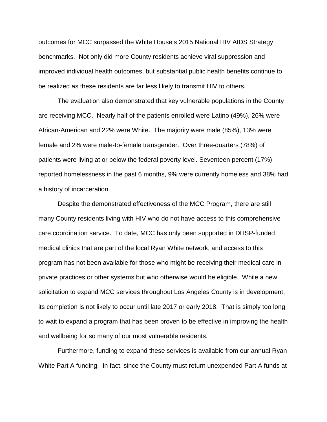outcomes for MCC surpassed the White House's 2015 National HIV AIDS Strategy benchmarks. Not only did more County residents achieve viral suppression and improved individual health outcomes, but substantial public health benefits continue to be realized as these residents are far less likely to transmit HIV to others.

The evaluation also demonstrated that key vulnerable populations in the County are receiving MCC. Nearly half of the patients enrolled were Latino (49%), 26% were African-American and 22% were White. The majority were male (85%), 13% were female and 2% were male-to-female transgender. Over three-quarters (78%) of patients were living at or below the federal poverty level. Seventeen percent (17%) reported homelessness in the past 6 months, 9% were currently homeless and 38% had a history of incarceration.

Despite the demonstrated effectiveness of the MCC Program, there are still many County residents living with HIV who do not have access to this comprehensive care coordination service. To date, MCC has only been supported in DHSP-funded medical clinics that are part of the local Ryan White network, and access to this program has not been available for those who might be receiving their medical care in private practices or other systems but who otherwise would be eligible. While a new solicitation to expand MCC services throughout Los Angeles County is in development, its completion is not likely to occur until late 2017 or early 2018. That is simply too long to wait to expand a program that has been proven to be effective in improving the health and wellbeing for so many of our most vulnerable residents.

Furthermore, funding to expand these services is available from our annual Ryan White Part A funding. In fact, since the County must return unexpended Part A funds at